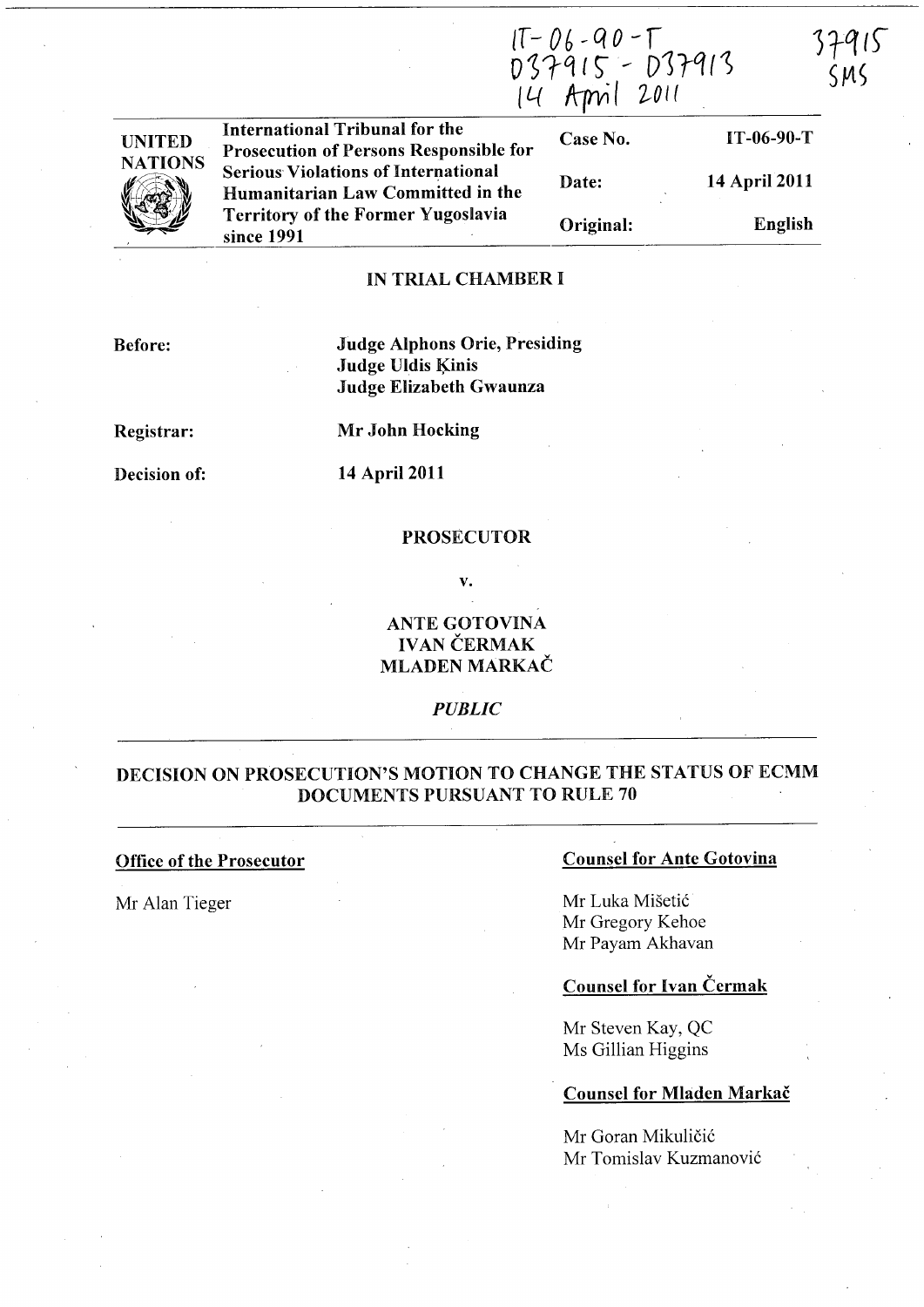IT-06-90-T<br>037915 - 037913<br>14 April 2011

 $37915$  $SMS$ 

| <b>UNITED</b>       | International Tribunal for the<br><b>Prosecution of Persons Responsible for</b> | Case No.  | $IT-06-90-T$  |
|---------------------|---------------------------------------------------------------------------------|-----------|---------------|
| <b>NATIONS</b><br>Y | <b>Serious Violations of International</b><br>Humanitarian Law Committed in the | Date:     | 14 April 2011 |
|                     | <b>Territory of the Former Yugoslavia</b><br>since 1991                         | Original: | English       |

### IN TRIAL CHAMBER I

Before:

# Judge Alphons Orie, Presiding Judge Uldis Kinis Judge Elizabeth Gwaunza

Registrar:

Mr John Hocking

Decision of:

## 14 April 2011

#### PROSECUTOR

v.

# ANTE GOTOVINA IVAN ČERMAK MLADEN MARKAC

*PUBLIC* 

# DECISION ON PROSECUTION'S MOTION TO CHANGE THE STATUS OF ECMM DOCUMENTS PURSUANT TO RULE 70

#### Office of the Prosecutor

Mr Alan Tieger

#### Counsel for Ante Gotovina

Mr Luka Misetic Mr Gregory Kehoe Mr Payam Akhavan

## Counsel for Ivan Cermak

Mr Steven Kay, QC Ms Gillian Higgins

#### Counsel for Mladen Markac

Mr Goran Mikuličić Mr Tomislav Kuzmanovic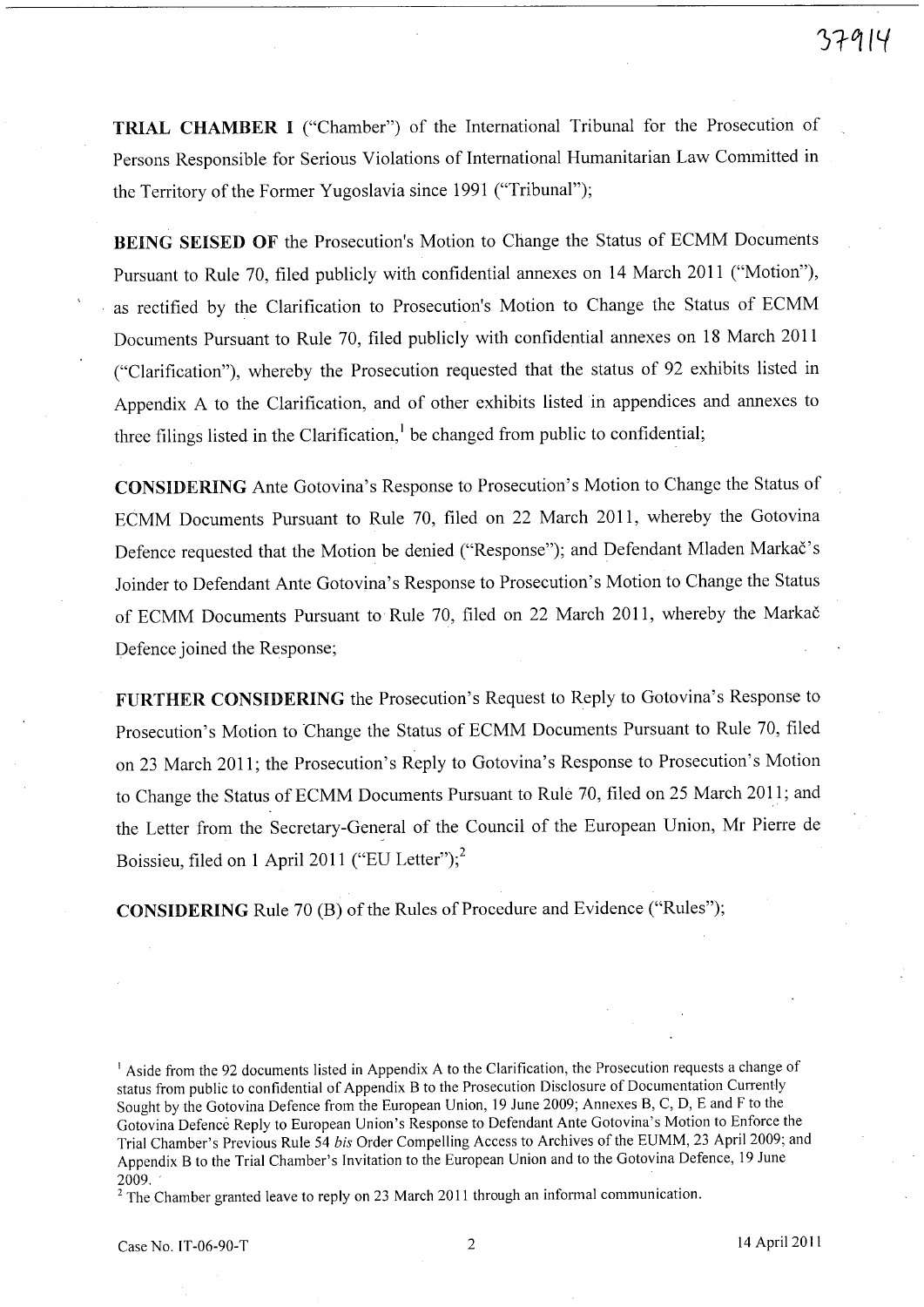TRIAL CHAMBER I ("Chamber") of the International Tribunal for the Prosecution of Persons Responsible for Serious Violations of International Humanitarian Law Committed in the Territory of the Former Yugoslavia since 1991 ("Tribunal");

BEING SEISED OF the Prosecution's Motion to Change the Status of ECMM Documents Pursuant to Rule 70, filed publicly with confidential annexes on 14 March 2011 ("Motion"), as rectified by the Clarification to Prosecution's Motion to Change the Status of ECMM Documents Pursuant to Rule 70, filed publicly with confidential annexes on 18 March 2011 ("Clarification"), whereby the Prosecution requested that the status of 92 exhibits listed in Appendix A to the Clarification, and of other exhibits listed in appendices and annexes to three filings listed in the Clarification,<sup>1</sup> be changed from public to confidential;

CONSIDERING Ante Gotovina's Response to Prosecution's Motion to Change the Status of ECMM Documents Pursuant to Rule 70, filed on 22 March 2011, whereby the Gotovina Defence requested that the Motion be denied ("Response"); and Defendant Mladen Markač's Joinder to Defendant Ante Gotovina's Response to Prosecution's Motion to Change the Status of ECMM Documents Pursuant to Rule 70, filed on 22 March 2011, whereby the Markac Defence joined the Response;

FURTHER CONSIDERING the Prosecution's Request to Reply to Gotovina's Response to Prosecution's Motion to Change the Status of ECMM Documents Pursuant to Rule 70, filed on 23 March 2011; the Prosecution's Reply to Gotovina's Response to Prosecution's Motion to Change the Status of ECMM Documents Pursuant to Rule 70, filed on 25 March 2011; and the Letter from the Secretary-General of the Council of the European Union, Mr Pierre de Boissieu, filed on 1 April 2011 ("EU Letter"); $^2$ 

CONSIDERING Rule 70 (B) of the Rules of Procedure and Evidence ("Rules");

<sup>&</sup>lt;sup>1</sup> Aside from the 92 documents listed in Appendix A to the Clarification, the Prosecution requests a change of status from public to confidential of Appendix B to the Prosecution Disclosure of Documentation Currently Sought by the Gotovina Defence from the European Union, 19 June 2009; Annexes B, C, D, E and F to the Gotovina Defence Reply to European Union's Response to Defendant Ante Gotovina's Motion to Enforce the Trial Chamber's Previous Rule 54 *his* Order Compelling Access to Archives of the EUMM, 23 April 2009; and Appendix B to the Trial Chamber's Invitation to the European Union and to the Gotovina Defence, 19 June 2009.

 $2$  The Chamber granted leave to reply on 23 March 2011 through an informal communication.